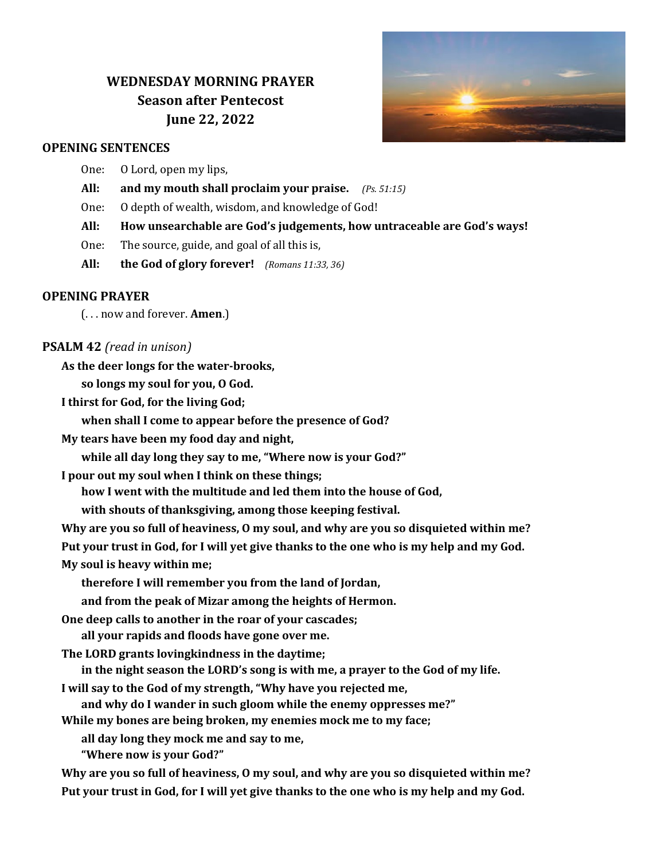# **WEDNESDAY MORNING PRAYER Season after Pentecost June 22, 2022**



# **OPENING SENTENCES**

- One: O Lord, open my lips,
- **All: and my mouth shall proclaim your praise.** *(Ps. 51:15)*
- One: O depth of wealth, wisdom, and knowledge of God!
- **All: How unsearchable are God's judgements, how untraceable are God's ways!**
- One: The source, guide, and goal of all this is,
- **All: the God of glory forever!** *(Romans 11:33, 36)*

# **OPENING PRAYER**

(. . . now and forever. **Amen**.)

# **PSALM 42** *(read in unison)*

**As the deer longs for the water-brooks,** 

**so longs my soul for you, O God.**

**I thirst for God, for the living God;**

**when shall I come to appear before the presence of God?**

**My tears have been my food day and night,**

**while all day long they say to me, "Where now is your God?"**

**I pour out my soul when I think on these things;** 

**how I went with the multitude and led them into the house of God,**

**with shouts of thanksgiving, among those keeping festival.**

**Why are you so full of heaviness, O my soul, and why are you so disquieted within me?**

**Put your trust in God, for I will yet give thanks to the one who is my help and my God.**

**My soul is heavy within me;**

**therefore I will remember you from the land of Jordan,**

**and from the peak of Mizar among the heights of Hermon.**

**One deep calls to another in the roar of your cascades;** 

**all your rapids and floods have gone over me.**

**The LORD grants lovingkindness in the daytime;** 

**in the night season the LORD's song is with me, a prayer to the God of my life.**

**I will say to the God of my strength, "Why have you rejected me,** 

**and why do I wander in such gloom while the enemy oppresses me?"** 

**While my bones are being broken, my enemies mock me to my face;**

**all day long they mock me and say to me,** 

**"Where now is your God?"**

**Why are you so full of heaviness, O my soul, and why are you so disquieted within me? Put your trust in God, for I will yet give thanks to the one who is my help and my God.**